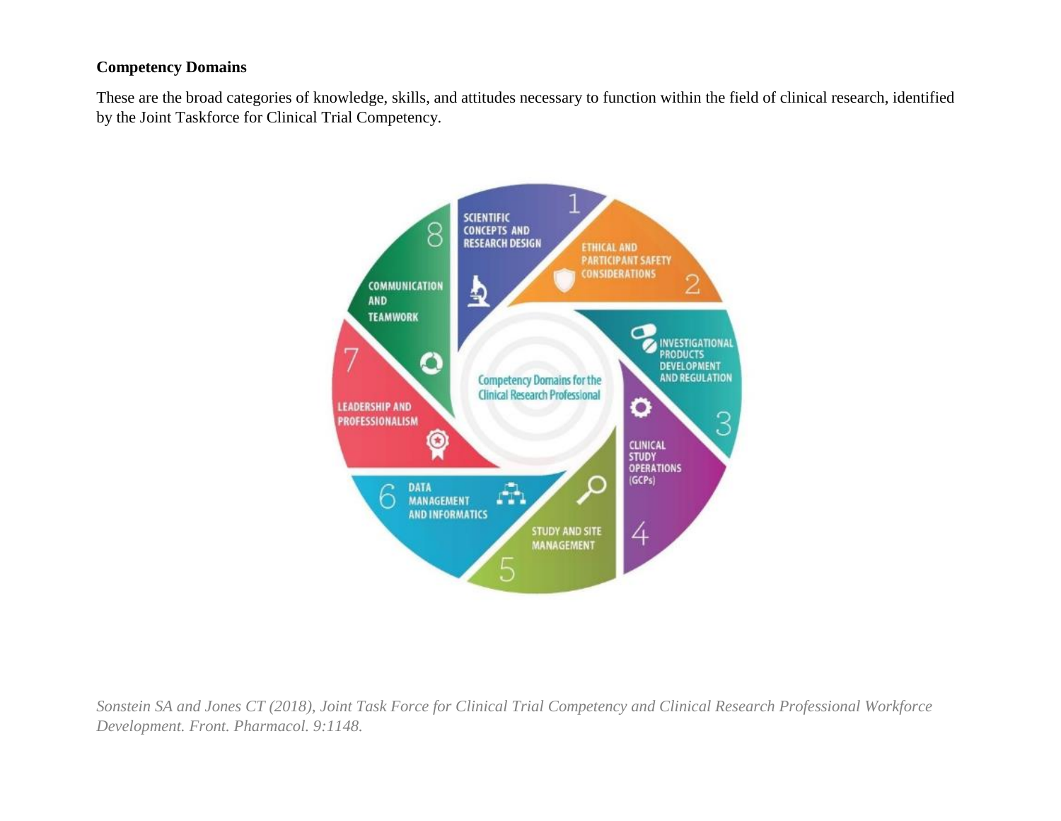## **Competency Domains**

These are the broad categories of knowledge, skills, and attitudes necessary to function within the field of clinical research, identified by the Joint Taskforce for Clinical Trial Competency.



*Sonstein SA and Jones CT (2018), Joint Task Force for Clinical Trial Competency and Clinical Research Professional Workforce Development. Front. Pharmacol. 9:1148.*